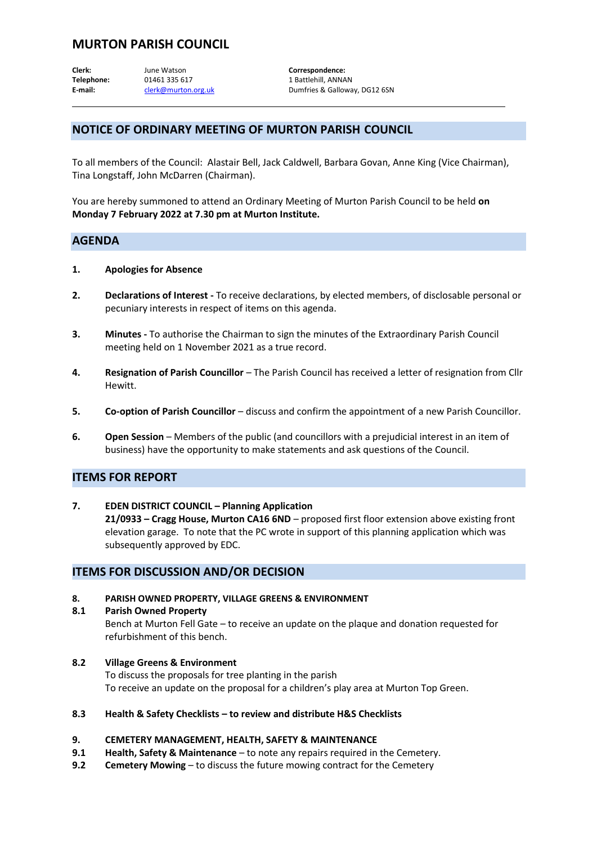# **MURTON PARISH COUNCIL**

**Clerk:** June Watson **Correspondence: Telephone:** 01461 335 617 1 Battlehill, ANNAN E-mail: [clerk@murton.org.uk](mailto:clerk@murton.org.uk) Dumfries & Galloway, DG12 6SN

## **NOTICE OF ORDINARY MEETING OF MURTON PARISH COUNCIL**

To all members of the Council: Alastair Bell, Jack Caldwell, Barbara Govan, Anne King (Vice Chairman), Tina Longstaff, John McDarren (Chairman).

You are hereby summoned to attend an Ordinary Meeting of Murton Parish Council to be held **on Monday 7 February 2022 at 7.30 pm at Murton Institute.**

## **AGENDA**

- **1. Apologies for Absence**
- **2. Declarations of Interest -** To receive declarations, by elected members, of disclosable personal or pecuniary interests in respect of items on this agenda.
- **3. Minutes -** To authorise the Chairman to sign the minutes of the Extraordinary Parish Council meeting held on 1 November 2021 as a true record.
- **4. Resignation of Parish Councillor** The Parish Council has received a letter of resignation from Cllr Hewitt.
- **5. Co-option of Parish Councillor** discuss and confirm the appointment of a new Parish Councillor.
- **6. Open Session** Members of the public (and councillors with a prejudicial interest in an item of business) have the opportunity to make statements and ask questions of the Council.

### **ITEMS FOR REPORT**

**7. EDEN DISTRICT COUNCIL – Planning Application 21/0933 – Cragg House, Murton CA16 6ND** – proposed first floor extension above existing front elevation garage. To note that the PC wrote in support of this planning application which was subsequently approved by EDC.

#### **ITEMS FOR DISCUSSION AND/OR DECISION**

- **8. PARISH OWNED PROPERTY, VILLAGE GREENS & ENVIRONMENT**
- **8.1 Parish Owned Property** Bench at Murton Fell Gate – to receive an update on the plaque and donation requested for refurbishment of this bench.
- **8.2 Village Greens & Environment** To discuss the proposals for tree planting in the parish To receive an update on the proposal for a children's play area at Murton Top Green.
- **8.3 Health & Safety Checklists – to review and distribute H&S Checklists**

#### **9. CEMETERY MANAGEMENT, HEALTH, SAFETY & MAINTENANCE**

- **9.1 Health, Safety & Maintenance** to note any repairs required in the Cemetery.
- **9.2 Cemetery Mowing** to discuss the future mowing contract for the Cemetery